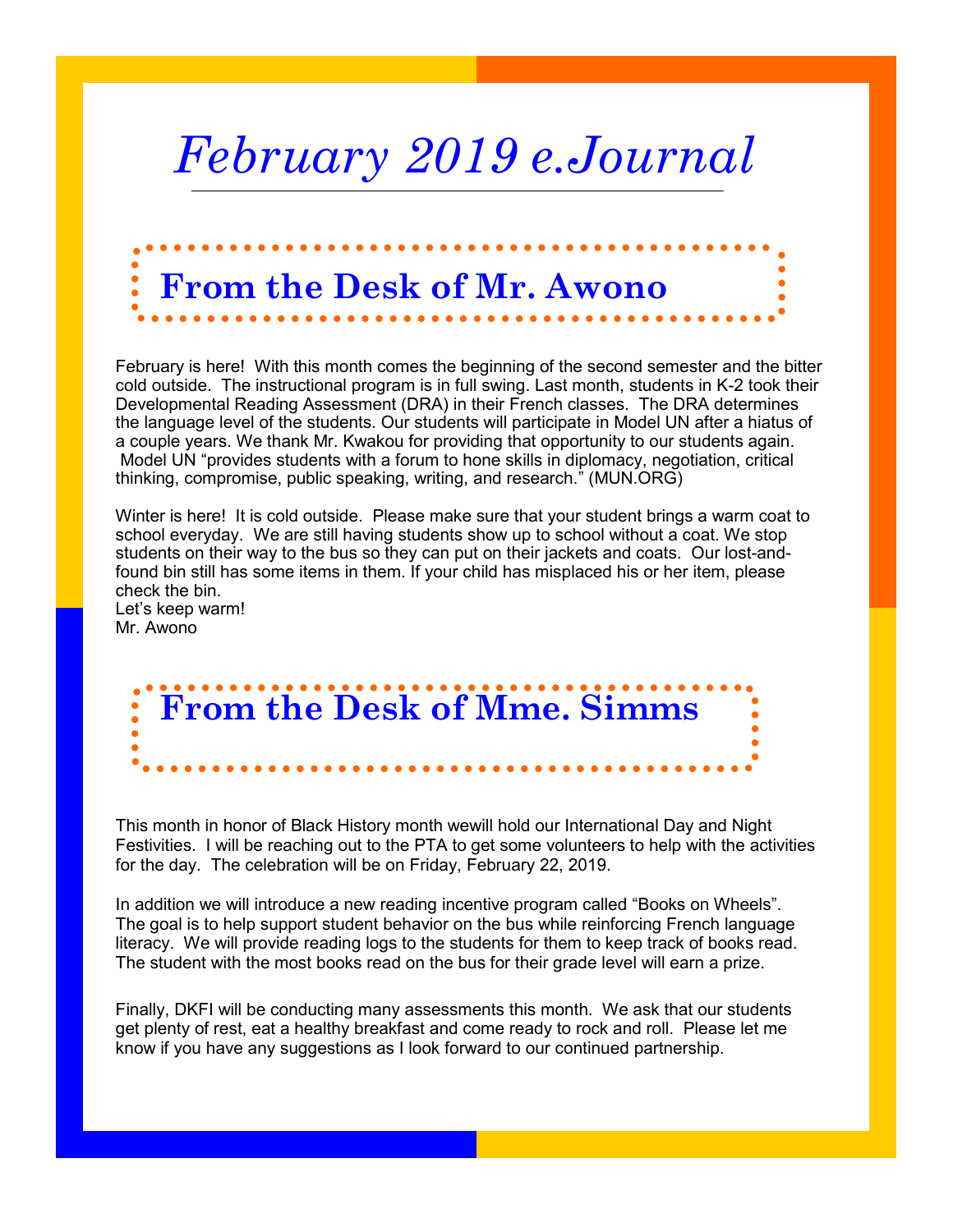# *February 2019 e.Journal*

## **From the Desk of Mr. Awono**

February is here! With this month comes the beginning of the second semester and the bitter cold outside. The instructional program is in full swing. Last month, students in K-2 took their Developmental Reading Assessment (DRA) in their French classes. The DRA determines the language level of the students. Our students will participate in Model UN after a hiatus of a couple years. We thank Mr. Kwakou for providing that opportunity to our students again. Model UN "provides students with a forum to hone skills in diplomacy, negotiation, critical thinking, compromise, public speaking, writing, and research." (MUN.ORG)

Winter is here! It is cold outside. Please make sure that your student brings a warm coat to school everyday. We are still having students show up to school without a coat. We stop students on their way to the bus so they can put on their jackets and coats. Our lost-andfound bin still has some items in them. If your child has misplaced his or her item, please check the bin.

Let's keep warm! Mr. Awono

# **From the Desk of Mme. Simms**

This month in honor of Black History month wewill hold our International Day and Night Festivities. I will be reaching out to the PTA to get some volunteers to help with the activities for the day. The celebration will be on Friday, February 22, 2019.

In addition we will introduce a new reading incentive program called "Books on Wheels". The goal is to help support student behavior on the bus while reinforcing French language literacy. We will provide reading logs to the students for them to keep track of books read. The student with the most books read on the bus for their grade level will earn a prize.

Finally, DKFI will be conducting many assessments this month. We ask that our students get plenty of rest, eat a healthy breakfast and come ready to rock and roll. Please let me know if you have any suggestions as I look forward to our continued partnership.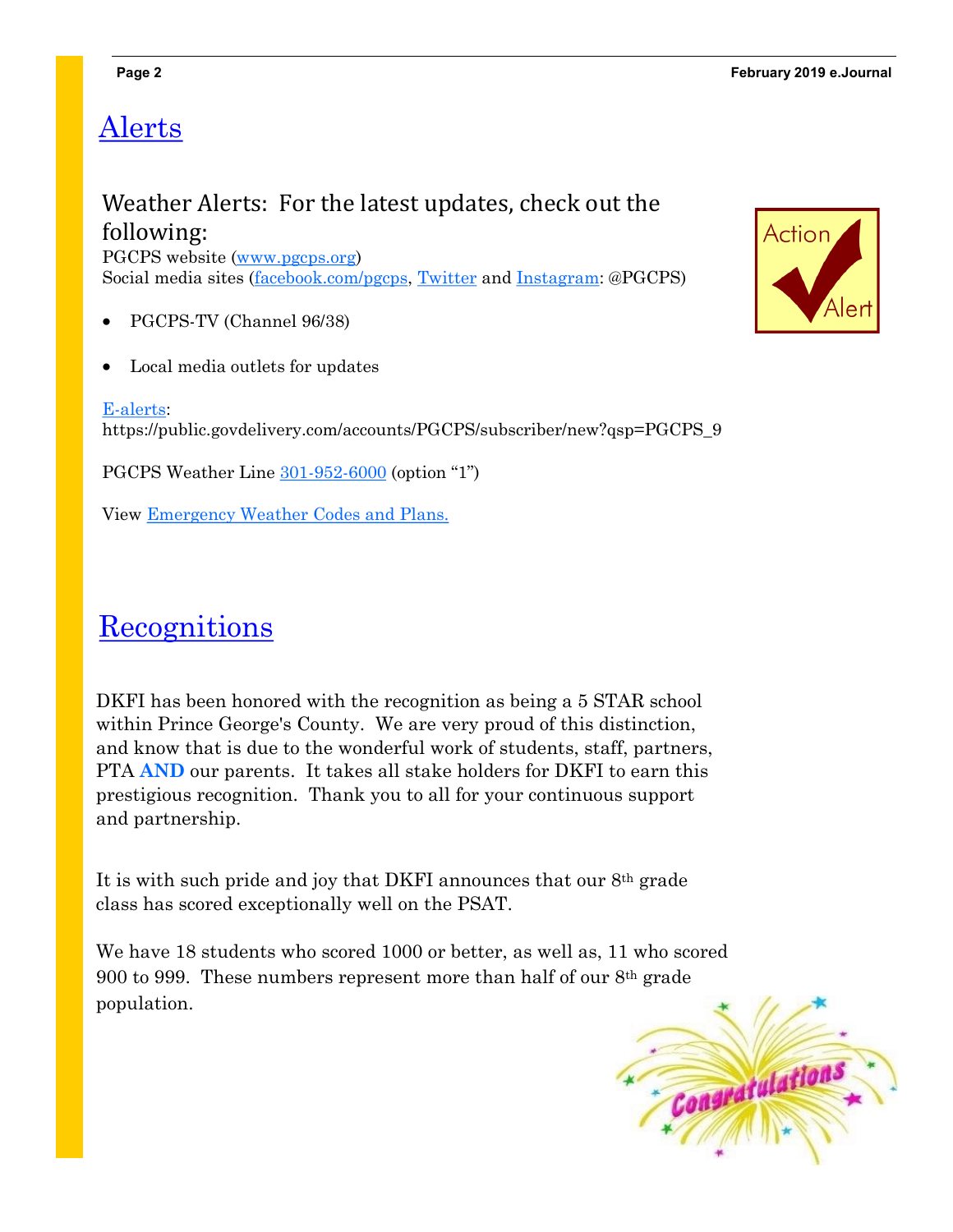### Alerts

#### Weather Alerts: For the latest updates, check out the following:

PGCPS website [\(www.pgcps.org\)](https://www.pgcps.org/) Social media sites ([facebook.com/pgcps,](http://facebook.com/pgcps) [Twitter](http://twitter.com/pgcps) and [Instagram:](http://instagram.com/pgcps) @PGCPS)

- PGCPS-TV (Channel 96/38)
- Local media outlets for updates
- [E-alerts:](https://public.govdelivery.com/accounts/PGCPS/subscriber/new)

https://public.govdelivery.com/accounts/PGCPS/subscriber/new?qsp=PGCPS\_9

PGCPS Weather Line [301-952-6000](tel:%28301%29%20952-6000) (option "1")

View [Emergency Weather Codes and Plans.](http://www.pgcps.org/WorkArea/linkit.aspx?LinkIdentifier=id&ItemID=31368)

### **Recognitions**

DKFI has been honored with the recognition as being a 5 STAR school within Prince George's County. We are very proud of this distinction, and know that is due to the wonderful work of students, staff, partners, PTA **AND** our parents. It takes all stake holders for DKFI to earn this prestigious recognition. Thank you to all for your continuous support and partnership.

It is with such pride and joy that DKFI announces that our 8th grade class has scored exceptionally well on the PSAT.

We have 18 students who scored 1000 or better, as well as, 11 who scored 900 to 999. These numbers represent more than half of our 8th grade population.



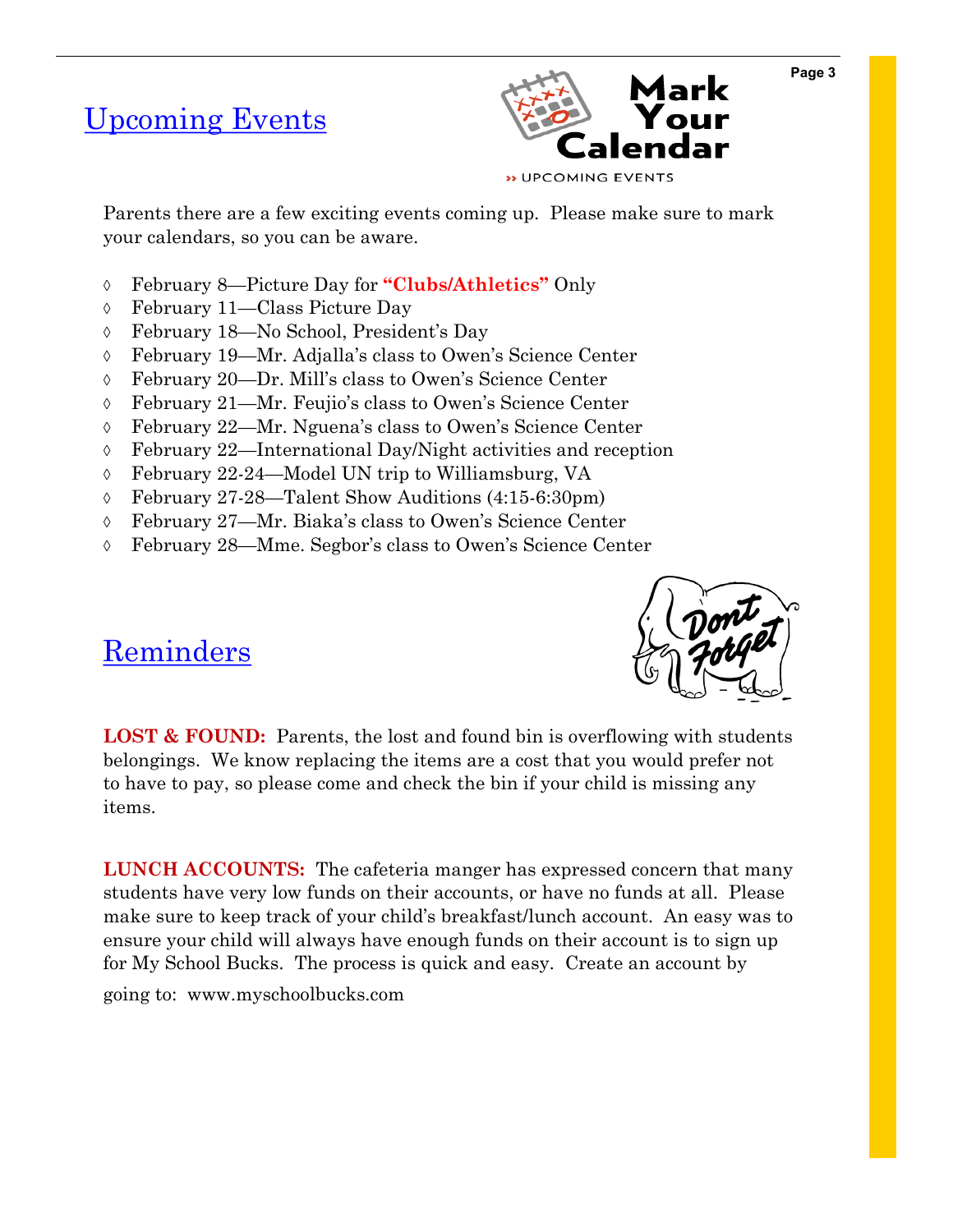#### Upcoming Events



Parents there are a few exciting events coming up. Please make sure to mark your calendars, so you can be aware.

- February 8—Picture Day for **"Clubs/Athletics"** Only
- February 11—Class Picture Day
- February 18—No School, President's Day
- February 19—Mr. Adjalla's class to Owen's Science Center
- February 20—Dr. Mill's class to Owen's Science Center
- February 21—Mr. Feujio's class to Owen's Science Center
- February 22—Mr. Nguena's class to Owen's Science Center
- February 22—International Day/Night activities and reception
- February 22-24—Model UN trip to Williamsburg, VA
- February 27-28—Talent Show Auditions (4:15-6:30pm)
- February 27—Mr. Biaka's class to Owen's Science Center
- February 28—Mme. Segbor's class to Owen's Science Center



#### Reminders

LOST & FOUND: Parents, the lost and found bin is overflowing with students belongings. We know replacing the items are a cost that you would prefer not to have to pay, so please come and check the bin if your child is missing any items.

**LUNCH ACCOUNTS:** The cafeteria manger has expressed concern that many students have very low funds on their accounts, or have no funds at all. Please make sure to keep track of your child's breakfast/lunch account. An easy was to ensure your child will always have enough funds on their account is to sign up for My School Bucks. The process is quick and easy. Create an account by going to: www.myschoolbucks.com